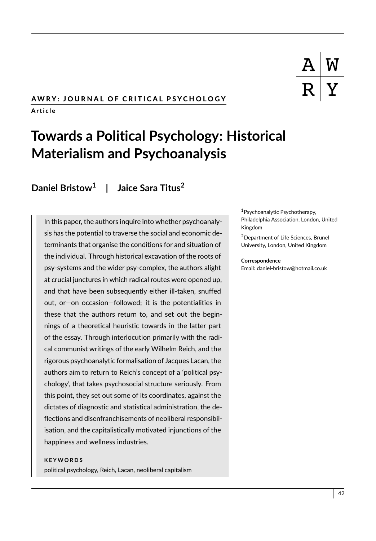## AWRY: JOURNAL OF CRITICAL PSYCHOLOGY A r t i c l e

# **Towards a Political Psychology: Historical Materialism and Psychoanalysis**

# **Daniel Bristow<sup>1</sup> | Jaice Sara Titus<sup>2</sup>**

In this paper, the authors inquire into whether psychoanalysis has the potential to traverse the social and economic determinants that organise the conditions for and situation of the individual. Through historical excavation of the roots of psy-systems and the wider psy-complex, the authors alight at crucial junctures in which radical routes were opened up, and that have been subsequently either ill-taken, snuffed out, or—on occasion—followed; it is the potentialities in these that the authors return to, and set out the beginnings of a theoretical heuristic towards in the latter part of the essay. Through interlocution primarily with the radical communist writings of the early Wilhelm Reich, and the rigorous psychoanalytic formalisation of Jacques Lacan, the authors aim to return to Reich's concept of a 'political psychology', that takes psychosocial structure seriously. From this point, they set out some of its coordinates, against the dictates of diagnostic and statistical administration, the deflections and disenfranchisements of neoliberal responsibilisation, and the capitalistically motivated injunctions of the happiness and wellness industries.

#### **K E Y W O R D S**

political psychology, Reich, Lacan, neoliberal capitalism

<sup>1</sup>Psychoanalytic Psychotherapy, Philadelphia Association, London, United Kingdom

<sup>2</sup>Department of Life Sciences, Brunel University, London, United Kingdom

#### **Correspondence**

Email: daniel-bristow@hotmail.co.uk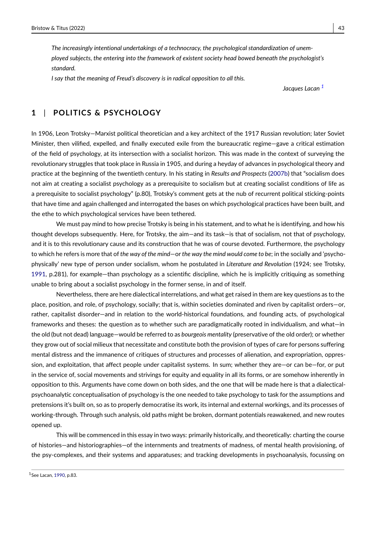*The increasingly intentional undertakings of a technocracy, the psychological standardization of unemployed subjects, the entering into the framework of existent society head bowed beneath the psychologist's standard.*

*I say that the meaning of Freud's discovery is in radical opposition to all this.*

*Jacques Lacan [1](#page-1-0)*

### **1** | **POLITICS & PSYCHOLOGY**

In 1906, Leon Trotsky—Marxist political theoretician and a key architect of the 1917 Russian revolution; later Soviet Minister, then vilified, expelled, and finally executed exile from the bureaucratic regime—gave a critical estimation of the field of psychology, at its intersection with a socialist horizon. This was made in the context of surveying the revolutionary struggles that took place in Russia in 1905, and during a heyday of advances in psychological theory and practice at the beginning of the twentieth century. In his stating in *Results and Prospects* [\(2007b\)](#page-19-0) that "socialism does not aim at creating a socialist psychology as a prerequisite to socialism but at creating socialist conditions of life as a prerequisite to socialist psychology" (p.80), Trotsky's comment gets at the nub of recurrent political sticking-points that have time and again challenged and interrogated the bases on which psychological practices have been built, and the ethe to which psychological services have been tethered.

We must pay mind to how precise Trotsky is being in his statement, and to what he is identifying, and how his thought develops subsequently. Here, for Trotsky, the aim—and its task—is that of socialism, not that of psychology, and it is to this revolutionary cause and its construction that he was of course devoted. Furthermore, the psychology to which he refers is more that of *the way of the mind*—or *the way the mind would come to be*; in the socially and 'psychophysically' new type of person under socialism, whom he postulated in *Literature and Revolution* (1924; see Trotsky, [1991,](#page-19-1) p.281), for example—than psychology as a scientific discipline, which he is implicitly critiquing as something unable to bring about a socialist psychology in the former sense, in and of itself.

Nevertheless, there are here dialectical interrelations, and what get raised in them are key questions as to the place, position, and role, of psychology, socially; that is, within societies dominated and riven by capitalist orders—or, rather, capitalist disorder—and in relation to the world-historical foundations, and founding acts, of psychological frameworks and theses: the question as to whether such are paradigmatically rooted in individualism, and what—in the old (but not dead) language—would be referred to as *bourgeois mentality* (preservative of the old order); or whether they grow out of social milieux that necessitate and constitute both the provision of types of care for persons suffering mental distress and the immanence of critiques of structures and processes of alienation, and expropriation, oppression, and exploitation, that affect people under capitalist systems. In sum; whether they are—or can be—for, or put in the service of, social movements and strivings for equity and equality in all its forms, or are somehow inherently in opposition to this. Arguments have come down on both sides, and the one that will be made here is that a dialecticalpsychoanalytic conceptualisation of psychology is the one needed to take psychology to task for the assumptions and pretensions it's built on, so as to properly democratise its work, its internal and external workings, and its processes of working-through. Through such analysis, old paths might be broken, dormant potentials reawakened, and new routes opened up.

This will be commenced in this essay in two ways: primarily historically, and theoretically: charting the course of histories—and historiographies—of the internments and treatments of madness, of mental health provisioning, of the psy-complexes, and their systems and apparatuses; and tracking developments in psychoanalysis, focussing on

<span id="page-1-0"></span><sup>1</sup>See Lacan, [1990,](#page-18-0) p.83.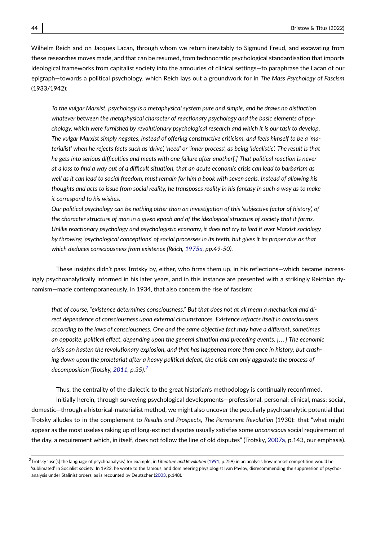Wilhelm Reich and on Jacques Lacan, through whom we return inevitably to Sigmund Freud, and excavating from these researches moves made, and that can be resumed, from technocratic psychological standardisation that imports ideological frameworks from capitalist society into the armouries of clinical settings—to paraphrase the Lacan of our epigraph—towards a political psychology, which Reich lays out a groundwork for in *The Mass Psychology of Fascism* (1933/1942):

*To the vulgar Marxist, psychology is a metaphysical system pure and simple, and he draws no distinction whatever between the metaphysical character of reactionary psychology and the basic elements of psychology, which were furnished by revolutionary psychological research and which it is our task to develop. The vulgar Marxist simply negates, instead of offering constructive criticism, and feels himself to be a 'materialist' when he rejects facts such as 'drive', 'need' or 'inner process', as being 'idealistic'. The result is that he gets into serious difficulties and meets with one failure after another[.] That political reaction is never at a loss to find a way out of a difficult situation, that an acute economic crisis can lead to barbarism as well as it can lead to social freedom, must remain for him a book with seven seals. Instead of allowing his thoughts and acts to issue from social reality, he transposes reality in his fantasy in such a way as to make it correspond to his wishes.*

*Our political psychology can be nothing other than an investigation of this 'subjective factor of history', of the character structure of man in a given epoch and of the ideological structure of society that it forms. Unlike reactionary psychology and psychologistic economy, it does not try to lord it over Marxist sociology by throwing 'psychological conceptions' of social processes in its teeth, but gives it its proper due as that which deduces consciousness from existence (Reich, [1975a,](#page-19-2) pp.49-50).*

These insights didn't pass Trotsky by, either, who firms them up, in his reflections—which became increasingly psychoanalytically informed in his later years, and in this instance are presented with a strikingly Reichian dynamism—made contemporaneously, in 1934, that also concern the rise of fascism:

*that of course, "existence determines consciousness." But that does not at all mean a mechanical and direct dependence of consciousness upon external circumstances. Existence refracts itself in consciousness according to the laws of consciousness. One and the same objective fact may have a different, sometimes an opposite, political effect, depending upon the general situation and preceding events. [. . .] The economic crisis can hasten the revolutionary explosion, and that has happened more than once in history; but crashing down upon the proletariat after a heavy political defeat, the crisis can only aggravate the process of decomposition (Trotsky, [2011,](#page-19-3) p.35).[2](#page-2-0)*

Thus, the centrality of the dialectic to the great historian's methodology is continually reconfirmed.

Initially herein, through surveying psychological developments—professional, personal; clinical, mass; social, domestic—through a historical-materialist method, we might also uncover the peculiarly psychoanalytic potential that Trotsky alludes to in the complement to *Results and Prospects, The Permanent Revolution* (1930): that "what might appear as the most useless raking up of long-extinct disputes usually satisfies some *unconscious* social requirement of the day, a requirement which, in itself, does not follow the line of old disputes" (Trotsky, [2007a,](#page-19-4) p.143, our emphasis).

<span id="page-2-0"></span><sup>2</sup>Trotsky 'use[s] the language of psychoanalysis', for example, in *Literature and Revolution* [\(1991,](#page-19-1) p.259) in an analysis how market competition would be 'sublimated' in Socialist society. In 1922, he wrote to the famous, and domineering physiologist Ivan Pavlov, disrecommending the suppression of psychoanalysis under Stalinist orders, as is recounted by Deutscher [\(2003,](#page-17-0) p.148).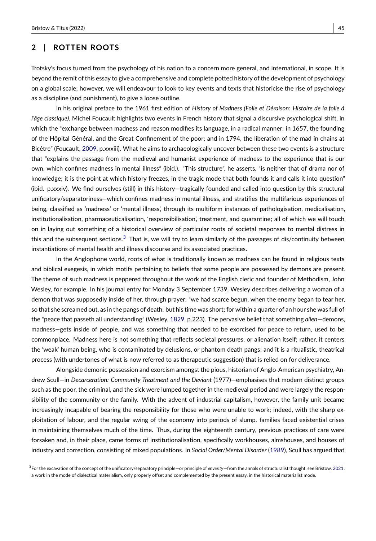## **2** | **ROTTEN ROOTS**

Trotsky's focus turned from the psychology of his nation to a concern more general, and international, in scope. It is beyond the remit of this essay to give a comprehensive and complete potted history of the development of psychology on a global scale; however, we will endeavour to look to key events and texts that historicise the rise of psychology as a discipline (and punishment), to give a loose outline.

In his original preface to the 1961 first edition of *History of Madness (Folie et Déraison: Histoire de la folie á l'âge classique)*, Michel Foucault highlights two events in French history that signal a discursive psychological shift, in which the "exchange between madness and reason modifies its language, in a radical manner: in 1657, the founding of the Hôpital Général, and the Great Confinement of the poor; and in 1794, the liberation of the mad in chains at Bicêtre" (Foucault, [2009,](#page-17-1) p.xxxiii). What he aims to archaeologically uncover between these two events is a structure that "explains the passage from the medieval and humanist experience of madness to the experience that is our own, which confines madness in mental illness" (ibid.). "This structure", he asserts, "is neither that of drama nor of knowledge; it is the point at which history freezes, in the tragic mode that both founds it and calls it into question" (ibid. p.xxxiv). We find ourselves (still) in this history—tragically founded and called into question by this structural unificatory/separatoriness—which confines madness in mental illness, and stratifies the multifarious experiences of being, classified as 'madness' or 'mental illness', through its multiform instances of pathologisation, medicalisation, institutionalisation, pharmaceuticalisation, 'responsibilisation', treatment, and quarantine; all of which we will touch on in laying out something of a historical overview of particular roots of societal responses to mental distress in this and the subsequent sections.<sup>[3](#page-3-0)</sup> That is, we will try to learn similarly of the passages of dis/continuity between instantiations of mental health and illness discourse and its associated practices.

In the Anglophone world, roots of what is traditionally known as madness can be found in religious texts and biblical exegesis, in which motifs pertaining to beliefs that some people are possessed by demons are present. The theme of such madness is peppered throughout the work of the English cleric and founder of Methodism, John Wesley, for example. In his journal entry for Monday 3 September 1739, Wesley describes delivering a woman of a demon that was supposedly inside of her, through prayer: "we had scarce begun, when the enemy began to tear her, so that she screamed out, as in the pangs of death: but his time was short; for within a quarter of an hour she was full of the "peace that passeth all understanding" (Wesley, [1829,](#page-19-5) p.223). The pervasive belief that something *alien*—demons, madness—gets inside of people, and was something that needed to be exorcised for peace to return, used to be commonplace. Madness here is not something that reflects societal pressures, or alienation itself; rather, it centers the 'weak' human being, who is contaminated by delusions, or phantom death pangs; and it is a ritualistic, theatrical process (with undertones of what is now referred to as therapeutic suggestion) that is relied on for deliverance.

Alongside demonic possession and exorcism amongst the pious, historian of Anglo-American psychiatry, Andrew Scull—in *Decarceration: Community Treatment and the Deviant* (1977)—emphasises that modern distinct groups such as the poor, the criminal, and the sick were lumped together in the medieval period and were largely the responsibility of the community or the family. With the advent of industrial capitalism, however, the family unit became increasingly incapable of bearing the responsibility for those who were unable to work; indeed, with the sharp exploitation of labour, and the regular swing of the economy into periods of slump, families faced existential crises in maintaining themselves much of the time. Thus, during the eighteenth century, previous practices of care were forsaken and, in their place, came forms of institutionalisation, specifically workhouses, almshouses, and houses of industry and correction, consisting of mixed populations. In *Social Order/Mental Disorder* [\(1989\)](#page-19-6), Scull has argued that

<span id="page-3-0"></span><sup>3</sup>For the excavation of the concept of the unificatory/separatory principle—or principle of *enverity*—from the annals of structuralist thought, see Bristow, [2021;](#page-16-0) a work in the mode of dialectical materialism, only properly offset and complemented by the present essay, in the historical materialist mode.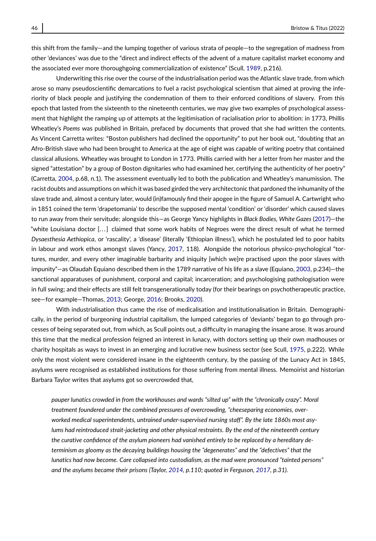this shift from the family—and the lumping together of various strata of people—to the segregation of madness from other 'deviances' was due to the "direct and indirect effects of the advent of a mature capitalist market economy and the associated ever more thoroughgoing commercialization of existence" (Scull, [1989,](#page-19-6) p.216).

Underwriting this rise over the course of the industrialisation period was the Atlantic slave trade, from which arose so many pseudoscientific demarcations to fuel a racist psychological scientism that aimed at proving the inferiority of black people and justifying the condemnation of them to their enforced conditions of slavery. From this epoch that lasted from the sixteenth to the nineteenth centuries, we may give two examples of psychological assessment that highlight the ramping up of attempts at the legitimisation of racialisation prior to abolition: in 1773, Phillis Wheatley's *Poems* was published in Britain, prefaced by documents that proved that she had written the contents. As Vincent Carretta writes: "Boston publishers had declined the opportunity" to put her book out, "doubting that an Afro-British slave who had been brought to America at the age of eight was capable of writing poetry that contained classical allusions. Wheatley was brought to London in 1773. Phillis carried with her a letter from her master and the signed "attestation" by a group of Boston dignitaries who had examined her, certifying the authenticity of her poetry" (Carretta, [2004,](#page-17-2) p.68, n.1). The assessment eventually led to both the publication and Wheatley's manumission. The racist doubts and assumptions on which it was based girded the very architectonic that pardoned the inhumanity of the slave trade and, almost a century later, would (in)famously find their apogee in the figure of Samuel A. Cartwright who in 1851 coined the term 'drapetomania' to describe the supposed mental 'condition' or 'disorder' which caused slaves to run away from their servitude; alongside this—as George Yancy highlights in *Black Bodies, White Gazes* [\(2017\)](#page-19-7)—the "white Louisiana doctor [...] claimed that some work habits of Negroes were the direct result of what he termed *Dysaesthesia Aethiopica*, or 'rascality', a 'disease' (literally 'Ethiopian illness'), which he postulated led to poor habits in labour and work ethos amongst slaves (Yancy, [2017,](#page-19-7) 118). Alongside the notorious physico-psychological "tortures, murder, and every other imaginable barbarity and iniquity [which we]re practised upon the poor slaves with impunity"—as Olaudah Equiano described them in the 1789 narrative of his life as a slave (Equiano, [2003,](#page-17-3) p.234)—the sanctional apparatuses of punishment, corporal and capital; incarceration; and psychologising pathologisation were in full swing; and their effects are still felt transgenerationally today (for their bearings on psychotherapeutic practice, see—for example—Thomas, [2013;](#page-19-8) George, [2016;](#page-18-1) Brooks, [2020\)](#page-17-4).

With industrialisation thus came the rise of medicalisation and institutionalisation in Britain. Demographically, in the period of burgeoning industrial capitalism, the lumped categories of 'deviants' began to go through processes of being separated out, from which, as Scull points out, a difficulty in managing the insane arose. It was around this time that the medical profession feigned an interest in lunacy, with doctors setting up their own madhouses or charity hospitals as ways to invest in an emerging and lucrative new business sector (see Scull, [1975,](#page-19-9) p.222). While only the most violent were considered insane in the eighteenth century, by the passing of the Lunacy Act in 1845, asylums were recognised as established institutions for those suffering from mental illness. Memoirist and historian Barbara Taylor writes that asylums got so overcrowded that,

*pauper lunatics crowded in from the workhouses and wards "silted up" with the "chronically crazy". Moral treatment foundered under the combined pressures of overcrowding, "cheeseparing economies, overworked medical superintendents, untrained under-supervised nursing staff". By the late 1860s most asylums had reintroduced strait-jacketing and other physical restraints. By the end of the nineteenth century the curative confidence of the asylum pioneers had vanished entirely to be replaced by a hereditary determinism as gloomy as the decaying buildings housing the "degenerates" and the "defectives" that the lunatics had now become. Care collapsed into custodialism, as the mad were pronounced "tainted persons" and the asylums became their prisons (Taylor, [2014,](#page-19-10) p.110; quoted in Ferguson, [2017,](#page-17-5) p.31).*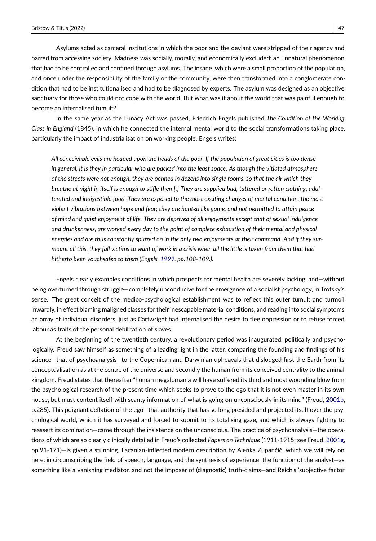Asylums acted as carceral institutions in which the poor and the deviant were stripped of their agency and barred from accessing society. Madness was socially, morally, and economically excluded; an unnatural phenomenon that had to be controlled and confined through asylums. The insane, which were a small proportion of the population, and once under the responsibility of the family or the community, were then transformed into a conglomerate condition that had to be institutionalised and had to be diagnosed by experts. The asylum was designed as an objective sanctuary for those who could not cope with the world. But what was it about the world that was painful enough to become an internalised tumult?

In the same year as the Lunacy Act was passed, Friedrich Engels published *The Condition of the Working Class in England* (1845), in which he connected the internal mental world to the social transformations taking place, particularly the impact of industrialisation on working people. Engels writes:

*All conceivable evils are heaped upon the heads of the poor. If the population of great cities is too dense in general, it is they in particular who are packed into the least space. As though the vitiated atmosphere of the streets were not enough, they are penned in dozens into single rooms, so that the air which they breathe at night in itself is enough to stifle them[.] They are supplied bad, tattered or rotten clothing, adulterated and indigestible food. They are exposed to the most exciting changes of mental condition, the most violent vibrations between hope and fear; they are hunted like game, and not permitted to attain peace of mind and quiet enjoyment of life. They are deprived of all enjoyments except that of sexual indulgence and drunkenness, are worked every day to the point of complete exhaustion of their mental and physical energies and are thus constantly spurred on in the only two enjoyments at their command. And if they surmount all this, they fall victims to want of work in a crisis when all the little is taken from them that had hitherto been vouchsafed to them (Engels, [1999,](#page-17-6) pp.108-109.).*

Engels clearly examples conditions in which prospects for mental health are severely lacking, and—without being overturned through struggle—completely unconducive for the emergence of a socialist psychology, in Trotsky's sense. The great conceit of the medico-psychological establishment was to reflect this outer tumult and turmoil inwardly, in effect blaming maligned classes for their inescapable material conditions, and reading into social symptoms an array of individual disorders, just as Cartwright had internalised the desire to flee oppression or to refuse forced labour as traits of the personal debilitation of slaves.

At the beginning of the twentieth century, a revolutionary period was inaugurated, politically and psychologically. Freud saw himself as something of a leading light in the latter, comparing the founding and findings of his science—that of psychoanalysis—to the Copernican and Darwinian upheavals that dislodged first the Earth from its conceptualisation as at the centre of the universe and secondly the human from its conceived centrality to the animal kingdom. Freud states that thereafter "human megalomania will have suffered its third and most wounding blow from the psychological research of the present time which seeks to prove to the ego that it is not even master in its own house, but must content itself with scanty information of what is going on unconsciously in its mind" (Freud, [2001b,](#page-17-7) p.285). This poignant deflation of the ego—that authority that has so long presided and projected itself over the psychological world, which it has surveyed and forced to submit to its totalising gaze, and which is always fighting to reassert its domination—came through the insistence on the unconscious. The practice of psychoanalysis—the operations of which are so clearly clinically detailed in Freud's collected *Papers on Technique* (1911-1915; see Freud, [2001g,](#page-17-8) pp.91-171)—is given a stunning, Lacanian-inflected modern description by Alenka Zupančič, which we will rely on here, in circumscribing the field of speech, language, and the synthesis of experience; the function of the analyst—as something like a vanishing mediator, and not the imposer of (diagnostic) truth-claims—and Reich's 'subjective factor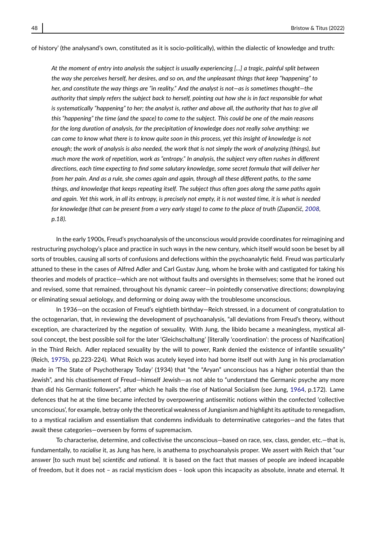of history' (the analysand's own, constituted as it is socio-politically), within the dialectic of knowledge and truth:

*At the moment of entry into analysis the subject is usually experiencing [...] a tragic, painful split between the way she perceives herself, her desires, and so on, and the unpleasant things that keep "happening" to her, and constitute the way things are "in reality." And the analyst is not—as is sometimes thought—the authority that simply refers the subject back to herself, pointing out how she is in fact responsible for what is systematically "happening" to her; the analyst is, rather and above all, the authority that has to give all this "happening" the time (and the space) to come to the subject. This could be one of the main reasons for the long duration of analysis, for the precipitation of knowledge does not really solve anything: we can come to know what there is to know quite soon in this process, yet this insight of knowledge is not enough; the work of analysis is also needed, the work that is not simply the work of analyzing (things), but much more the work of repetition, work as "entropy." In analysis, the subject very often rushes in different directions, each time expecting to find some salutary knowledge, some secret formula that will deliver her from her pain. And as a rule, she comes again and again, through all these different paths, to the same things, and knowledge that keeps repeating itself. The subject thus often goes along the same paths again and again. Yet this work, in all its entropy, is precisely not empty, it is not wasted time, it is what is needed for knowledge (that can be present from a very early stage) to come to the place of truth (Zupančič, [2008,](#page-19-11) p.18).*

In the early 1900s, Freud's psychoanalysis of the unconscious would provide coordinates for reimagining and restructuring psychology's place and practice in such ways in the new century, which itself would soon be beset by all sorts of troubles, causing all sorts of confusions and defections within the psychoanalytic field. Freud was particularly attuned to these in the cases of Alfred Adler and Carl Gustav Jung, whom he broke with and castigated for taking his theories and models of practice—which are not without faults and oversights in themselves; some that he ironed out and revised, some that remained, throughout his dynamic career—in pointedly conservative directions; downplaying or eliminating sexual aetiology, and deforming or doing away with the troublesome unconscious.

In 1936—on the occasion of Freud's eightieth birthday—Reich stressed, in a document of congratulation to the octogenarian, that, in reviewing the development of psychoanalysis, "all deviations from Freud's theory, without exception, are characterized by the *negation* of sexuality. With Jung, the libido became a meaningless, mystical allsoul concept, the best possible soil for the later 'Gleichschaltung' [literally 'coordination': the process of Nazification] in the Third Reich. Adler replaced sexuality by the will to power, Rank denied the existence of infantile sexuality" (Reich, [1975b,](#page-19-12) pp.223-224). What Reich was acutely keyed into had borne itself out with Jung in his proclamation made in 'The State of Psychotherapy Today' (1934) that "the "Aryan" unconscious has a higher potential than the Jewish", and his chastisement of Freud—himself Jewish—as not able to "understand the Germanic psyche any more than did his Germanic followers", after which he hails the rise of National Socialism (see Jung, [1964,](#page-18-2) p.172). Lame defences that he at the time became infected by overpowering antisemitic notions within the confected 'collective unconscious', for example, betray only the theoretical weakness of Jungianism and highlight its aptitude to renegadism, to a mystical racialism and essentialism that condemns individuals to determinative categories—and the fates that await these categories—overseen by forms of supremacism.

To characterise, determine, and collectivise the unconscious—based on race, sex, class, gender, etc.—that is, fundamentally, to *racialise* it, as Jung has here, is anathema to psychoanalysis proper. We assert with Reich that "our answer [to such must be] *scientific and rational*. It is based on the fact that masses of people are indeed incapable of freedom, but it does not – as racial mysticism does – look upon this incapacity as absolute, innate and eternal. It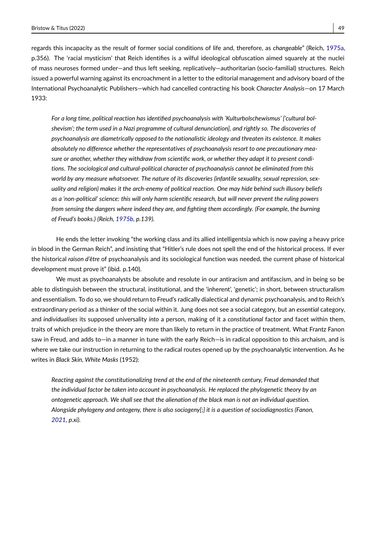regards this incapacity as the result of former social conditions of life and, therefore, as *changeable*" (Reich, [1975a,](#page-19-2) p.356). The 'racial mysticism' that Reich identifies is a wilful ideological obfuscation aimed squarely at the nuclei of mass neuroses formed under—and thus left seeking, replicatively—authoritarian (socio-familial) structures. Reich issued a powerful warning against its encroachment in a letter to the editorial management and advisory board of the International Psychoanalytic Publishers—which had cancelled contracting his book *Character Analysis*—on 17 March 1933:

*For a long time, political reaction has identified psychoanalysis with 'Kulturbolschewismus' ['cultural bolshevism'; the term used in a Nazi programme of cultural denunciation], and rightly so. The discoveries of psychoanalysis are diametrically opposed to the nationalistic ideology and threaten its existence. It makes absolutely no difference whether the representatives of psychoanalysis resort to one precautionary measure or another, whether they withdraw from scientific work, or whether they adapt it to present conditions. The sociological and cultural-political character of psychoanalysis cannot be eliminated from this world by any measure whatsoever. The nature of its discoveries (infantile sexuality, sexual repression, sexuality and religion) makes it the arch-enemy of political reaction. One may hide behind such illusory beliefs as a 'non-political' science: this will only harm scientific research, but will never prevent the ruling powers from sensing the dangers where indeed they are, and fighting them accordingly. (For example, the burning of Freud's books.) (Reich, [1975b,](#page-19-12) p.139).*

He ends the letter invoking "the working class and its allied intelligentsia which is now paying a heavy price in blood in the German Reich", and insisting that "Hitler's rule does not spell the end of the historical process. If ever the historical *raison d'être* of psychoanalysis and its sociological function was needed, the current phase of historical development must prove it" (ibid. p.140).

We must as psychoanalysts be absolute and resolute in our antiracism and antifascism, and in being so be able to distinguish between the structural, institutional, and the 'inherent', 'genetic'; in short, between structuralism and essentialism. To do so, we should return to Freud's radically dialectical and dynamic psychoanalysis, and to Reich's extraordinary period as a thinker of the social within it. Jung does not see a social category, but an *essential* category, and *individualises* its supposed universality *into* a person, making of it a *constitutional* factor and facet within them, traits of which prejudice in the theory are more than likely to return in the practice of treatment. What Frantz Fanon saw in Freud, and adds to—in a manner in tune with the early Reich—is in radical opposition to this archaism, and is where we take our instruction in returning to the radical routes opened up by the psychoanalytic intervention. As he writes in *Black Skin, White Masks* (1952):

*Reacting against the constitutionalizing trend at the end of the nineteenth century, Freud demanded that the individual factor be taken into account in psychoanalysis. He replaced the phylogenetic theory by an ontogenetic approach. We shall see that the alienation of the black man is not an individual question. Alongside phylogeny and ontogeny, there is also sociogeny[;] it is a question of sociodiagnostics (Fanon, [2021,](#page-17-9) p.xi).*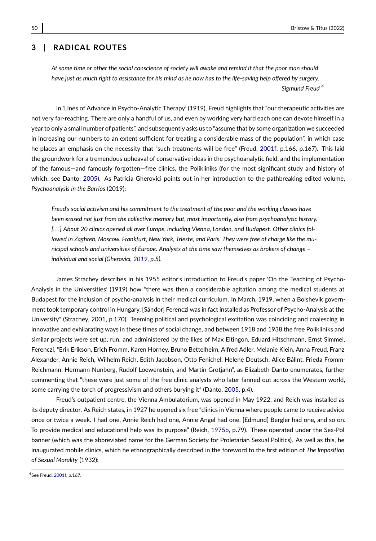### **3** | **RADICAL ROUTES**

*At some time or other the social conscience of society will awake and remind it that the poor man should have just as much right to assistance for his mind as he now has to the life-saving help offered by surgery. Sigmund Freud [4](#page-8-0)*

In 'Lines of Advance in Psycho-Analytic Therapy' (1919), Freud highlights that "our therapeutic activities are not very far-reaching. There are only a handful of us, and even by working very hard each one can devote himself in a year to only a small number of patients", and subsequently asks us to "assume that by some organization we succeeded in increasing our numbers to an extent sufficient for treating a considerable mass of the population", in which case he places an emphasis on the necessity that "such treatments will be free" (Freud, [2001f,](#page-17-10) p.166, p.167). This laid the groundwork for a tremendous upheaval of conservative ideas in the psychoanalytic field, and the implementation of the famous—and famously forgotten—free clinics, the Polikliniks (for the most significant study and history of which, see Danto, [2005\)](#page-17-11). As Patricia Gherovici points out in her introduction to the pathbreaking edited volume, *Psychoanalysis in the Barrios* (2019):

*Freud's social activism and his commitment to the treatment of the poor and the working classes have been erased not just from the collective memory but, most importantly, also from psychoanalytic history.* [...] About 20 clinics opened all over Europe, including Vienna, London, and Budapest. Other clinics fol*lowed in Zaghreb, Moscow, Frankfurt, New York, Trieste, and Paris. They were free of charge like the municipal schools and universities of Europe. Analysts at the time saw themselves as brokers of change – individual and social (Gherovici, [2019,](#page-18-3) p.5).*

James Strachey describes in his 1955 editor's introduction to Freud's paper 'On the Teaching of Psycho-Analysis in the Universities' (1919) how "there was then a considerable agitation among the medical students at Budapest for the inclusion of psycho-analysis in their medical curriculum. In March, 1919, when a Bolshevik government took temporary control in Hungary, [Sándor] Ferenczi was in fact installed as Professor of Psycho-Analysis at the University" (Strachey, 2001, p.170). Teeming political and psychological excitation was coinciding and coalescing in innovative and exhilarating ways in these times of social change, and between 1918 and 1938 the free Polikliniks and similar projects were set up, run, and administered by the likes of Max Eitingon, Eduard Hitschmann, Ernst Simmel, Ferenczi, "Erik Erikson, Erich Fromm, Karen Horney, Bruno Bettelheim, Alfred Adler, Melanie Klein, Anna Freud, Franz Alexander, Annie Reich, Wilhelm Reich, Edith Jacobson, Otto Fenichel, Helene Deutsch, Alice Bálint, Frieda Fromm-Reichmann, Hermann Nunberg, Rudolf Loewenstein, and Martin Grotjahn", as Elizabeth Danto enumerates, further commenting that "these were just some of the free clinic analysts who later fanned out across the Western world, some carrying the torch of progressivism and others burying it" (Danto, [2005,](#page-17-11) p.4).

Freud's outpatient centre, the Vienna Ambulatorium, was opened in May 1922, and Reich was installed as its deputy director. As Reich states, in 1927 he opened six free "clinics in Vienna where people came to receive advice once or twice a week. I had one, Annie Reich had one, Annie Angel had one, [Edmund] Bergler had one, and so on. To provide medical and educational help was its purpose" (Reich, [1975b,](#page-19-12) p.79). These operated under the Sex-Pol banner (which was the abbreviated name for the German Society for Proletarian Sexual Politics). As well as this, he inaugurated mobile clinics, which he ethnographically described in the foreword to the first edition of *The Imposition of Sexual Morality* (1932):

<span id="page-8-0"></span><sup>4</sup>See Freud, [2001f,](#page-17-10) p.167.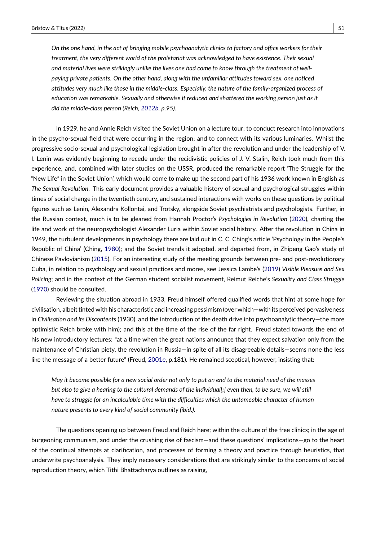*On the one hand, in the act of bringing mobile psychoanalytic clinics to factory and office workers for their treatment, the very different world of the proletariat was acknowledged to have existence. Their sexual and material lives were strikingly unlike the lives one had come to know through the treatment of wellpaying private patients. On the other hand, along with the unfamiliar attitudes toward sex, one noticed attitudes very much like those in the middle-class. Especially, the nature of the family-organized process of education was remarkable. Sexually and otherwise it reduced and shattered the working person just as it did the middle-class person (Reich, [2012b,](#page-19-13) p.95).*

In 1929, he and Annie Reich visited the Soviet Union on a lecture tour; to conduct research into innovations in the psycho-sexual field that were occurring in the region; and to connect with its various luminaries. Whilst the progressive socio-sexual and psychological legislation brought in after the revolution and under the leadership of V. I. Lenin was evidently beginning to recede under the recidivistic policies of J. V. Stalin, Reich took much from this experience, and, combined with later studies on the USSR, produced the remarkable report 'The Struggle for the "New Life" in the Soviet Union', which would come to make up the second part of his 1936 work known in English as *The Sexual Revolution*. This early document provides a valuable history of sexual and psychological struggles within times of social change in the twentieth century, and sustained interactions with works on these questions by political figures such as Lenin, Alexandra Kollontai, and Trotsky, alongside Soviet psychiatrists and psychologists. Further, in the Russian context, much is to be gleaned from Hannah Proctor's *Psychologies in Revolution* [\(2020\)](#page-18-4), charting the life and work of the neuropsychologist Alexander Luria within Soviet social history. After the revolution in China in 1949, the turbulent developments in psychology there are laid out in C. C. Ching's article 'Psychology in the People's Republic of China' (Ching, [1980\)](#page-17-12); and the Soviet trends it adopted, and departed from, in Zhipeng Gao's study of Chinese Pavlovianism [\(2015\)](#page-18-5). For an interesting study of the meeting grounds between pre- and post-revolutionary Cuba, in relation to psychology and sexual practices and mores, see Jessica Lambe's [\(2019\)](#page-18-6) *Visible Pleasure and Sex Policing*; and in the context of the German student socialist movement, Reimut Reiche's *Sexuality and Class Struggle* [\(1970\)](#page-19-14) should be consulted.

Reviewing the situation abroad in 1933, Freud himself offered qualified words that hint at some hope for civilisation, albeit tinted with his characteristic and increasing pessimism (over which—with its perceived pervasiveness in *Civilisation and Its Discontents* (1930), and the introduction of the death drive into psychoanalytic theory—the more optimistic Reich broke with him); and this at the time of the rise of the far right. Freud stated towards the end of his new introductory lectures: "at a time when the great nations announce that they expect salvation only from the maintenance of Christian piety, the revolution in Russia—in spite of all its disagreeable details—seems none the less like the message of a better future" (Freud, [2001e,](#page-17-13) p.181). He remained sceptical, however, insisting that:

*May it become possible for a new social order not only to put an end to the material need of the masses but also to give a hearing to the cultural demands of the individual[;] even then, to be sure, we will still have to struggle for an incalculable time with the difficulties which the untameable character of human nature presents to every kind of social community (ibid.).*

The questions opening up between Freud and Reich here; within the culture of the free clinics; in the age of burgeoning communism, and under the crushing rise of fascism—and these questions' implications—go to the heart of the continual attempts at clarification, and processes of forming a theory and practice through heuristics, that underwrite psychoanalysis. They imply necessary considerations that are strikingly similar to the concerns of social reproduction theory, which Tithi Bhattacharya outlines as raising,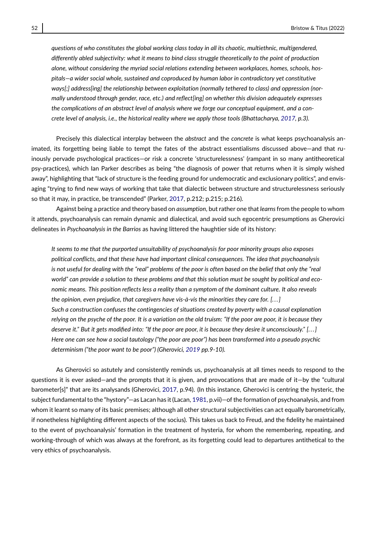*questions of who constitutes the global working class today in all its chaotic, multiethnic, multigendered, differently abled subjectivity: what it means to bind class struggle theoretically to the point of production alone, without considering the myriad social relations extending between workplaces, homes, schools, hospitals—a wider social whole, sustained and coproduced by human labor in contradictory yet constitutive ways[;] address[ing] the relationship between exploitation (normally tethered to class) and oppression (normally understood through gender, race, etc.) and reflect[ing] on whether this division adequately expresses the complications of an abstract level of analysis where we forge our conceptual equipment, and a concrete level of analysis, i.e., the historical reality where we apply those tools (Bhattacharya, [2017,](#page-16-1) p.3).*

Precisely this dialectical interplay between the *abstract* and the *concrete* is what keeps psychoanalysis animated, its forgetting being liable to tempt the fates of the abstract essentialisms discussed above—and that ruinously pervade psychological practices—or risk a concrete 'structurelessness' (rampant in so many antitheoretical psy-practices), which Ian Parker describes as being "the diagnosis of power that returns when it is simply wished away", highlighting that "lack of structure is the feeding ground for undemocratic and exclusionary politics", and envisaging "trying to find new ways of working that take that dialectic between structure and structurelessness seriously so that it may, in practice, be transcended" (Parker, [2017,](#page-18-7) p.212; p.215; p.216).

Against being a practice and theory based on *assumption*, but rather one that *learns* from the people to whom it attends, psychoanalysis can remain dynamic and dialectical, and avoid such egocentric presumptions as Gherovici delineates in *Psychoanalysis in the Barrios* as having littered the haughtier side of its history:

*It seems to me that the purported unsuitability of psychoanalysis for poor minority groups also exposes political conflicts, and that these have had important clinical consequences. The idea that psychoanalysis is not useful for dealing with the "real" problems of the poor is often based on the belief that only the "real world" can provide a solution to these problems and that this solution must be sought by political and economic means. This position reflects less a reality than a symptom of the dominant culture. It also reveals the opinion, even prejudice, that caregivers have vis-à-vis the minorities they care for. [. . .] Such a construction confuses the contingencies of situations created by poverty with a causal explanation relying on the psyche of the poor. It is a variation on the old truism: "If the poor are poor, it is because they deserve it." But it gets modified into: "If the poor are poor, it is because they desire it unconsciously." [. . .] Here one can see how a social tautology ("the poor are poor") has been transformed into a pseudo psychic determinism ("the poor want to be poor") (Gherovici, [2019](#page-18-3) pp.9-10).*

As Gherovici so astutely and consistently reminds us, psychoanalysis at all times needs to respond to the questions it is ever asked—and the prompts that it is given, and provocations that are made of it—by the "cultural barometer[s]" that are its analysands (Gherovici, [2017,](#page-18-8) p.94). (In this instance, Gherovici is centring the hysteric, the subject fundamental to the "hystory"—as Lacan has it (Lacan, [1981,](#page-18-9) p.vii)—of the formation of psychoanalysis, and from whom it learnt so many of its basic premises; although all other structural subjectivities can act equally barometrically, if nonetheless highlighting different aspects of the socius). This takes us back to Freud, and the fidelity he maintained to the event of psychoanalysis' formation in the treatment of hysteria, for whom the remembering, repeating, and working-through of which was always at the forefront, as its forgetting could lead to departures antithetical to the very ethics of psychoanalysis.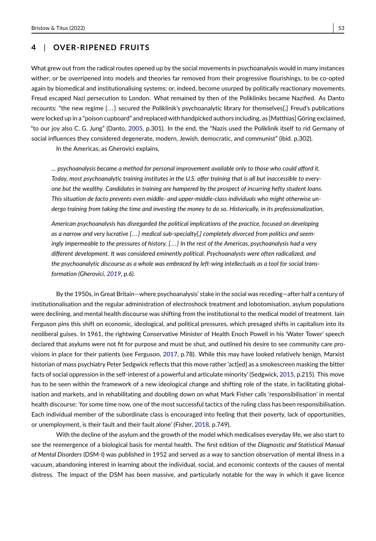## **4** | **OVER-RIPENED FRUITS**

What grew out from the radical routes opened up by the social movements in psychoanalysis would in many instances wither; or be overripened into models and theories far removed from their progressive flourishings, to be co-opted again by biomedical and institutionalising systems; or, indeed, become usurped by politically reactionary movements. Freud escaped Nazi persecution to London. What remained by then of the Polikliniks became Nazified. As Danto recounts: "the new regime [. . . ] secured the Poliklinik's psychoanalytic library for themselves[.] Freud's publications were locked up in a "poison cupboard" and replaced with handpicked authors including, as [Matthias] Göring exclaimed, "to our joy also C. G. Jung" (Danto, [2005,](#page-17-11) p.301). In the end, the "Nazis used the Poliklinik itself to rid Germany of social influences they considered degenerate, modern, Jewish, democratic, and communist" (ibid. p.302).

In the Americas, as Gherovici explains,

*... psychoanalysis became a method for personal improvement available only to those who could afford it. Today, most psychoanalytic training institutes in the U.S. offer training that is all but inaccessible to everyone but the wealthy. Candidates in training are hampered by the prospect of incurring hefty student loans. This situation de facto prevents even middle- and upper-middle-class individuals who might otherwise undergo training from taking the time and investing the money to do so. Historically, in its professionalization,*

*American psychoanalysis has disregarded the political implications of the practice, focused on developing as a narrow and very lucrative [. . .] medical sub-specialty[,] completely divorced from politics and seemingly impermeable to the pressures of history. [. . .] In the rest of the Americas, psychoanalysis had a very different development. It was considered eminently political. Psychoanalysts were often radicalized, and the psychoanalytic discourse as a whole was embraced by left-wing intellectuals as a tool for social transformation (Gherovici, [2019,](#page-18-3) p.6).*

By the 1950s, in Great Britain—where psychoanalysis' stake in the social was receding—after half a century of institutionalisation and the regular administration of electroshock treatment and lobotomisation, asylum populations were declining, and mental health discourse was shifting from the institutional to the medical model of treatment. Iain Ferguson pins this shift on economic, ideological, and political pressures, which presaged shifts in capitalism into its neoliberal guises. In 1961, the rightwing Conservative Minister of Health Enoch Powell in his 'Water Tower' speech declared that asylums were not fit for purpose and must be shut, and outlined his desire to see community care provisions in place for their patients (see Ferguson, [2017,](#page-17-5) p.78). While this may have looked relatively benign, Marxist historian of mass psychiatry Peter Sedgwick reflects that this move rather 'act[ed] as a smokescreen masking the bitter facts of social oppression in the self-interest of a powerful and articulate minority' (Sedgwick, [2015,](#page-19-15) p.215). This move has to be seen within the framework of a new ideological change and shifting role of the state, in facilitating globalisation and markets, and in rehabilitating and doubling down on what Mark Fisher calls 'responsibilisation' in mental health discourse: 'for some time now, one of the most successful tactics of the ruling class has been responsibilisation. Each individual member of the subordinate class is encouraged into feeling that their poverty, lack of opportunities, or unemployment, is their fault and their fault alone' (Fisher, [2018,](#page-17-14) p.749).

With the decline of the asylum and the growth of the model which medicalises everyday life, we also start to see the reemergence of a biological basis for mental health. The first edition of the *Diagnostic and Statistical Manual of Mental Disorders* (DSM-I) was published in 1952 and served as a way to sanction observation of mental illness in a vacuum, abandoning interest in learning about the individual, social, and economic contexts of the causes of mental distress. The impact of the DSM has been massive, and particularly notable for the way in which it gave licence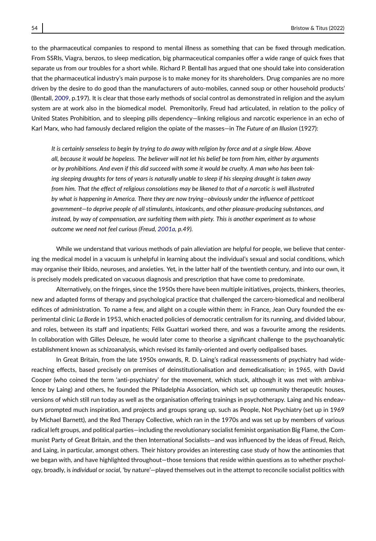to the pharmaceutical companies to respond to mental illness as something that can be fixed through medication. From SSRIs, Viagra, benzos, to sleep medication, big pharmaceutical companies offer a wide range of quick fixes that separate us from our troubles for a short while. Richard P. Bentall has argued that one should take into consideration that the pharmaceutical industry's main purpose is to make money for its shareholders. Drug companies are no more driven by the desire to do good than the manufacturers of auto-mobiles, canned soup or other household products' (Bentall, [2009,](#page-16-2) p.197). It is clear that those early methods of social control as demonstrated in religion and the asylum system are at work also in the biomedical model. Premonitorily, Freud had articulated, in relation to the policy of United States Prohibition, and to sleeping pills dependency—linking religious and narcotic experience in an echo of Karl Marx, who had famously declared religion the opiate of the masses—in *The Future of an Illusion* (1927):

*It is certainly senseless to begin by trying to do away with religion by force and at a single blow. Above all, because it would be hopeless. The believer will not let his belief be torn from him, either by arguments or by prohibitions. And even if this did succeed with some it would be cruelty. A man who has been taking sleeping draughts for tens of years is naturally unable to sleep if his sleeping draught is taken away from him. That the effect of religious consolations may be likened to that of a narcotic is well illustrated by what is happening in America. There they are now trying—obviously under the influence of petticoat government—to deprive people of all stimulants, intoxicants, and other pleasure-producing substances, and instead, by way of compensation, are surfeiting them with piety. This is another experiment as to whose outcome we need not feel curious (Freud, [2001a,](#page-17-15) p.49).*

While we understand that various methods of pain alleviation are helpful for people, we believe that centering the medical model in a vacuum is unhelpful in learning about the individual's sexual and social conditions, which may organise their libido, neuroses, and anxieties. Yet, in the latter half of the twentieth century, and into our own, it is precisely models predicated on vacuous diagnosis and prescription that have come to predominate.

Alternatively, on the fringes, since the 1950s there have been multiple initiatives, projects, thinkers, theories, new and adapted forms of therapy and psychological practice that challenged the carcero-biomedical and neoliberal edifices of administration. To name a few, and alight on a couple within them: in France, Jean Oury founded the experimental clinic *La Borde* in 1953, which enacted policies of democratic centralism for its running, and divided labour, and roles, between its staff and inpatients; Félix Guattari worked there, and was a favourite among the residents. In collaboration with Gilles Deleuze, he would later come to theorise a significant challenge to the psychoanalytic establishment known as schizoanalysis, which revised its family-oriented and overly oedipalised bases.

In Great Britain, from the late 1950s onwards, R. D. Laing's radical reassessments of psychiatry had widereaching effects, based precisely on premises of deinstitutionalisation and demedicalisation; in 1965, with David Cooper (who coined the term 'anti-psychiatry' for the movement, which stuck, although it was met with ambivalence by Laing) and others, he founded the Philadelphia Association, which set up community therapeutic houses, versions of which still run today as well as the organisation offering trainings in psychotherapy. Laing and his endeavours prompted much inspiration, and projects and groups sprang up, such as People, Not Psychiatry (set up in 1969 by Michael Barnett), and the Red Therapy Collective, which ran in the 1970s and was set up by members of various radical left groups, and political parties—including the revolutionary socialist feminist organisation Big Flame, the Communist Party of Great Britain, and the then International Socialists—and was influenced by the ideas of Freud, Reich, and Laing, in particular, amongst others. Their history provides an interesting case study of how the antinomies that we began with, and have highlighted throughout—those tensions that reside within questions as to whether psychology, broadly, is *individual* or *social*, 'by nature'—played themselves out in the attempt to reconcile socialist politics with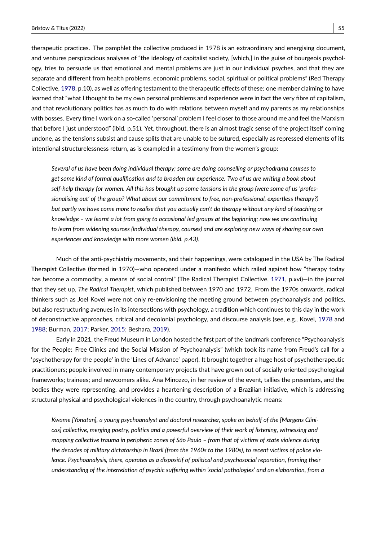therapeutic practices. The pamphlet the collective produced in 1978 is an extraordinary and energising document, and ventures perspicacious analyses of "the ideology of capitalist society, [which,] in the guise of bourgeois psychology, tries to persuade us that emotional and mental problems are just in our individual psyches, and that they are separate and different from health problems, economic problems, social, spiritual or political problems" (Red Therapy Collective, [1978,](#page-19-16) p.10), as well as offering testament to the therapeutic effects of these: one member claiming to have learned that "what I thought to be my own personal problems and experience were in fact the very fibre of capitalism, and that revolutionary politics has as much to do with relations between myself and my parents as my relationships with bosses. Every time I work on a so-called 'personal' problem I feel closer to those around me and feel the Marxism that before I just understood" (ibid. p.51). Yet, throughout, there is an almost tragic sense of the project itself coming undone, as the tensions subsist and cause splits that are unable to be sutured, especially as repressed elements of its intentional structurelessness return, as is exampled in a testimony from the women's group:

*Several of us have been doing individual therapy; some are doing counselling or psychodrama courses to get some kind of formal qualification and to broaden our experience. Two of us are writing a book about self-help therapy for women. All this has brought up some tensions in the group (were some of us 'professionalising out' of the group? What about our commitment to free, non-professional, expertless therapy?) but partly we have come more to realise that you actually can't do therapy without any kind of teaching or knowledge – we learnt a lot from going to occasional led groups at the beginning; now we are continuing to learn from widening sources (individual therapy, courses) and are exploring new ways of sharing our own experiences and knowledge with more women (ibid. p.43).*

Much of the anti-psychiatriy movements, and their happenings, were catalogued in the USA by The Radical Therapist Collective (formed in 1970)—who operated under a manifesto which railed against how "therapy today has become a commodity, a means of social control" (The Radical Therapist Collective, [1971,](#page-19-17) p.xvi)—in the journal that they set up, *The Radical Therapist*, which published between 1970 and 1972. From the 1970s onwards, radical thinkers such as Joel Kovel were not only re-envisioning the meeting ground between psychoanalysis and politics, but also restructuring avenues in its intersections with psychology, a tradition which continues to this day in the work of deconstructive approaches, critical and decolonial psychology, and discourse analysis (see, e.g., Kovel, [1978](#page-18-10) and [1988;](#page-18-11) Burman, [2017;](#page-17-16) Parker, [2015;](#page-18-12) Beshara, [2019\)](#page-16-3).

Early in 2021, the Freud Museum in London hosted the first part of the landmark conference "Psychoanalysis for the People: Free Clinics and the Social Mission of Psychoanalysis" (which took its name from Freud's call for a 'psychotherapy for the people' in the 'Lines of Advance' paper). It brought together a huge host of psychotherapeutic practitioners; people involved in many contemporary projects that have grown out of socially oriented psychological frameworks; trainees; and newcomers alike. Ana Minozzo, in her review of the event, tallies the presenters, and the bodies they were representing, and provides a heartening description of a Brazilian initiative, which is addressing structural physical and psychological violences in the country, through psychoanalytic means:

*Kwame [Yonatan], a young psychoanalyst and doctoral researcher, spoke on behalf of the [Margens Clínicas] collective, merging poetry, politics and a powerful overview of their work of listening, witnessing and mapping collective trauma in peripheric zones of São Paulo – from that of victims of state violence during the decades of military dictatorship in Brazil (from the 1960s to the 1980s), to recent victims of police violence. Psychoanalysis, there, operates as a dispositif of political and psychosocial reparation, framing their understanding of the interrelation of psychic suffering within 'social pathologies' and an elaboration, from a*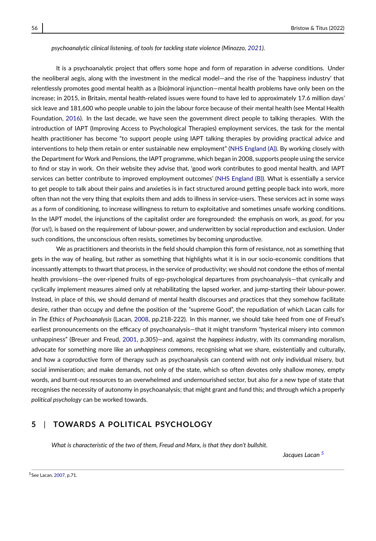#### *psychoanalytic clinical listening, of tools for tackling state violence (Minozzo, [2021\)](#page-18-13).*

It is a psychoanalytic project that offers some hope and form of reparation in adverse conditions. Under the neoliberal aegis, along with the investment in the medical model—and the rise of the 'happiness industry' that relentlessly promotes good mental health as a (bio)moral injunction—mental health problems have only been on the increase; in 2015, in Britain, mental health-related issues were found to have led to approximately 17.6 million days' sick leave and 181,600 who people unable to join the labour force because of their mental health (see Mental Health Foundation, [2016\)](#page-18-14). In the last decade, we have seen the government direct people to talking therapies. With the introduction of IAPT (Improving Access to Psychological Therapies) employment services, the task for the mental health practitioner has become "to support people using IAPT talking therapies by providing practical advice and interventions to help them retain or enter sustainable new employment" [\(NHS England \(A\)\)](#page-18-15). By working closely with the Department for Work and Pensions, the IAPT programme, which began in 2008, supports people using the service to find or stay in work. On their website they advise that, 'good work contributes to good mental health, and IAPT services can better contribute to improved employment outcomes' [\(NHS England \(B\)\)](#page-18-16). What is essentially a service to get people to talk about their pains and anxieties is in fact structured around getting people back into work, more often than not the very thing that exploits them and adds to illness in service-users. These services act in some ways as a form of conditioning, to increase willingness to return to exploitative and sometimes unsafe working conditions. In the IAPT model, the injunctions of the capitalist order are foregrounded: the emphasis on work, as *good*, for you (for us!), is based on the requirement of labour-power, and underwritten by social reproduction and exclusion. Under such conditions, the unconscious often resists, sometimes by becoming unproductive.

We as practitioners and theorists in the field should champion this form of resistance, not as something that gets in the way of healing, but rather as something that highlights what it is in our socio-economic conditions that incessantly attempts to thwart that process, in the service of productivity; we should not condone the ethos of mental health provisions—the over-ripened fruits of ego-psychological departures from psychoanalysis—that cynically and cyclically implement measures aimed only at rehabilitating the lapsed worker, and jump-starting their labour-power. Instead, in place of this, we should demand of mental health discourses and practices that they somehow facilitate desire, rather than occupy and define the position of the "supreme Good", the repudiation of which Lacan calls for in *The Ethics of Psychoanalysis* (Lacan, [2008,](#page-18-17) pp.218-222). In this manner, we should take heed from one of Freud's earliest pronouncements on the efficacy of psychoanalysis—that it might transform "hysterical misery into common unhappiness" (Breuer and Freud, [2001,](#page-16-4) p.305)—and, against the *happiness industry*, with its commanding moralism, advocate for something more like an *unhappiness commons*, recognising what we share, existentially and culturally, and how a coproductive form of therapy such as psychoanalysis can contend with not only individual misery, but social immiseration; and make demands, not only *of* the state, which so often devotes only shallow money, empty words, and burnt-out resources to an overwhelmed and undernourished sector, but also *for* a new type of state that recognises the necessity of autonomy in psychoanalysis; that might grant and fund this; and through which a properly *political psychology* can be worked towards.

#### **5** | **TOWARDS A POLITICAL PSYCHOLOGY**

<span id="page-14-0"></span>*What is characteristic of the two of them, Freud and Marx, is that they don't bullshit.*

*Jacques Lacan [5](#page-14-0)*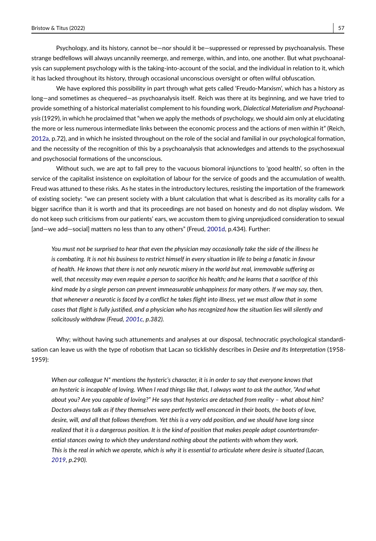Psychology, and its history, cannot be—nor should it be—suppressed or repressed by psychoanalysis. These strange bedfellows will always uncannily reemerge, and remerge, within, and into, one another. But what psychoanalysis can supplement psychology with is the taking-into-account of the social, and the individual in relation to it, which it has lacked throughout its history, through occasional unconscious oversight or often wilful obfuscation.

We have explored this possibility in part through what gets called 'Freudo-Marxism', which has a history as long—and sometimes as chequered—as psychoanalysis itself. Reich was there at its beginning, and we have tried to provide something of a historical materialist complement to his founding work, *Dialectical Materialism and Psychoanalysis* (1929), in which he proclaimed that "when we apply the methods of psychology, we should aim only at elucidating the more or less numerous intermediate links between the economic process and the actions of men within it" (Reich, [2012a,](#page-19-18) p.72), and in which he insisted throughout on the role of the social and familial in our psychological formation, and the necessity of the recognition of this by a psychoanalysis that acknowledges and attends to the psychosexual and psychosocial formations of the unconscious.

Without such, we are apt to fall prey to the vacuous biomoral injunctions to 'good health', so often in the service of the capitalist insistence on exploitation of labour for the service of goods and the accumulation of wealth. Freud was attuned to these risks. As he states in the introductory lectures, resisting the importation of the framework of existing society: "we can present society with a blunt calculation that what is described as its morality calls for a bigger sacrifice than it is worth and that its proceedings are not based on honesty and do not display wisdom. We do not keep such criticisms from our patients' ears, we accustom them to giving unprejudiced consideration to sexual [and—we add—social] matters no less than to any others" (Freud, [2001d,](#page-17-17) p.434). Further:

*You must not be surprised to hear that even the physician may occasionally take the side of the illness he is combating. It is not his business to restrict himself in every situation in life to being a fanatic in favour of health. He knows that there is not only neurotic misery in the world but real, irremovable suffering as well, that necessity may even require a person to sacrifice his health; and he learns that a sacrifice of this kind made by a single person can prevent immeasurable unhappiness for many others. If we may say, then, that whenever a neurotic is faced by a conflict he takes flight into illness, yet we must allow that in some cases that flight is fully justified, and a physician who has recognized how the situation lies will silently and solicitously withdraw (Freud, [2001c,](#page-17-18) p.382).*

Why; without having such attunements and analyses at our disposal, technocratic psychological standardisation can leave us with the type of robotism that Lacan so ticklishly describes in *Desire and Its Interpretation* (1958- 1959):

*When our colleague N\* mentions the hysteric's character, it is in order to say that everyone knows that an hysteric is incapable of loving. When I read things like that, I always want to ask the author, "And what about you? Are you capable of loving?" He says that hysterics are detached from reality – what about him? Doctors always talk as if they themselves were perfectly well ensconced in their boots, the boots of love, desire, will, and all that follows therefrom. Yet this is a very odd position, and we should have long since realized that it is a dangerous position. It is the kind of position that makes people adopt countertransferential stances owing to which they understand nothing about the patients with whom they work. This is the real in which we operate, which is why it is essential to articulate where desire is situated (Lacan, [2019,](#page-18-19) p.290).*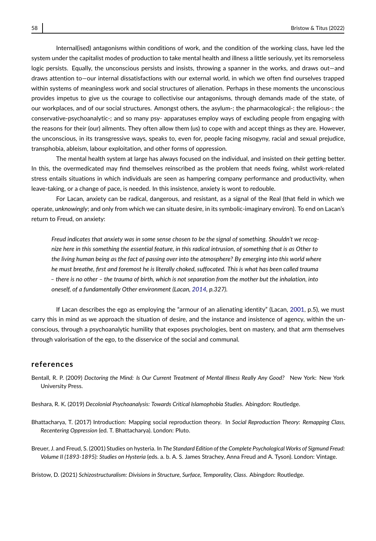Internal(ised) antagonisms within conditions of work, and the condition of the working class, have led the system under the capitalist modes of production to take mental health and illness a little seriously, yet its remorseless logic persists. Equally, the unconscious persists and insists, throwing a spanner in the works, and draws out—and draws attention to—our internal dissatisfactions with our external world, in which we often find ourselves trapped within systems of meaningless work and social structures of alienation. Perhaps in these moments the unconscious provides impetus to give us the courage to collectivise our antagonisms, through demands made of the state, of our workplaces, and of our social structures. Amongst others, the asylum-; the pharmacological-; the religious-; the conservative-psychoanalytic-; and so many psy- apparatuses employ ways of excluding people from engaging with the reasons for their (our) ailments. They often allow them (us) to cope with and accept things as they are. However, the unconscious, in its transgressive ways, speaks to, even for, people facing misogyny, racial and sexual prejudice, transphobia, ableism, labour exploitation, and other forms of oppression.

The mental health system at large has always focused on the individual, and insisted on *their* getting better. In this, the overmedicated may find themselves reinscribed as the problem that needs fixing, whilst work-related stress entails situations in which individuals are seen as hampering company performance and productivity, when leave-taking, or a change of pace, is needed. In this insistence, anxiety is wont to redouble.

For Lacan, anxiety can be radical, dangerous, and resistant, as a signal of the Real (that field in which we operate, *unknowingly*; and only from which we can situate desire, in its symbolic-imaginary environ). To end on Lacan's return to Freud, on anxiety:

*Freud indicates that anxiety was in some sense chosen to be the signal of something. Shouldn't we recognize here in this something the essential feature, in this radical intrusion, of something that is as Other to the living human being as the fact of passing over into the atmosphere? By emerging into this world where he must breathe, first and foremost he is literally choked, suffocated. This is what has been called trauma – there is no other – the trauma of birth, which is not separation from the mother but the inhalation, into oneself, of a fundamentally Other environment (Lacan, [2014,](#page-18-20) p.327).*

If Lacan describes the ego as employing the "armour of an alienating identity" (Lacan, [2001,](#page-18-21) p.5), we must carry this in mind as we approach the situation of desire, and the instance and insistence of agency, within the unconscious, through a psychoanalytic humility that exposes psychologies, bent on mastery, and that arm themselves through valorisation of the ego, to the disservice of the social and communal.

#### **references**

- <span id="page-16-2"></span>Bentall, R. P. (2009) *Doctoring the Mind: Is Our Current Treatment of Mental Illness Really Any Good?* New York: New York University Press.
- <span id="page-16-3"></span>Beshara, R. K. (2019) *Decolonial Psychoanalysis: Towards Critical Islamophobia Studies*. Abingdon: Routledge.
- <span id="page-16-1"></span>Bhattacharya, T. (2017) Introduction: Mapping social reproduction theory. In *Social Reproduction Theory: Remapping Class, Recentering Oppression* (ed. T. Bhattacharya). London: Pluto.
- <span id="page-16-4"></span>Breuer, J. and Freud, S. (2001) Studies on hysteria. In *The Standard Edition of the Complete Psychological Works of Sigmund Freud: Volume II (1893-1895): Studies on Hysteria* (eds. a. b. A. S. James Strachey, Anna Freud and A. Tyson). London: Vintage.
- <span id="page-16-0"></span>Bristow, D. (2021) *Schizostructuralism: Divisions in Structure, Surface, Temporality, Class*. Abingdon: Routledge.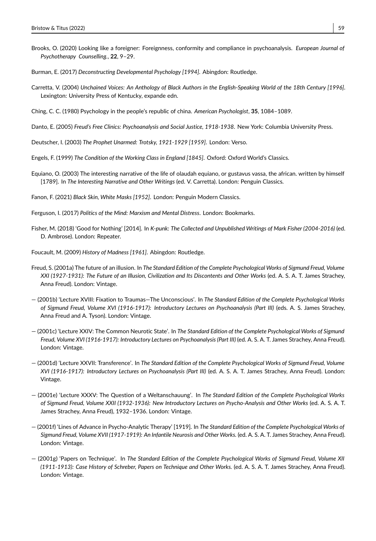- <span id="page-17-4"></span>Brooks, O. (2020) Looking like a foreigner: Foreignness, conformity and compliance in psychoanalysis. *European Journal of Psychotherapy Counselling.*, **22**, 9–29.
- <span id="page-17-16"></span>Burman, E. (2017) *Deconstructing Developmental Psychology [1994]*. Abingdon: Routledge.
- <span id="page-17-2"></span>Carretta, V. (2004) *Unchained Voices: An Anthology of Black Authors in the English-Speaking World of the 18th Century [1996]*. Lexington: University Press of Kentucky, expande edn.
- <span id="page-17-12"></span>Ching, C. C. (1980) Psychology in the people's republic of china. *American Psychologist*, **35**, 1084–1089.
- <span id="page-17-11"></span>Danto, E. (2005) *Freud's Free Clinics: Psychoanalysis and Social Justice, 1918-1938*. New York: Columbia University Press.
- <span id="page-17-0"></span>Deutscher, I. (2003) *The Prophet Unarmed: Trotsky, 1921-1929 [1959]*. London: Verso.
- <span id="page-17-6"></span>Engels, F. (1999) *The Condition of the Working Class in England [1845]*. Oxford: Oxford World's Classics.
- <span id="page-17-3"></span>Equiano, O. (2003) The interesting narrative of the life of olaudah equiano, or gustavus vassa, the african. written by himself [1789]. In *The Interesting Narrative and Other Writings* (ed. V. Carretta). London: Penguin Classics.
- <span id="page-17-9"></span>Fanon, F. (2021) *Black Skin, White Masks [1952]*. London: Penguin Modern Classics.
- <span id="page-17-5"></span>Ferguson, I. (2017) *Politics of the Mind: Marxism and Mental Distress*. London: Bookmarks.
- <span id="page-17-14"></span>Fisher, M. (2018) 'Good for Nothing' [2014]. In *K-punk: The Collected and Unpublished Writings of Mark Fisher (2004-2016)* (ed. D. Ambrose). London: Repeater.
- <span id="page-17-1"></span>Foucault, M. (2009) *History of Madness [1961]*. Abingdon: Routledge.
- <span id="page-17-15"></span>Freud, S. (2001a) The future of an illusion. In *The Standard Edition of the Complete Psychological Works of Sigmund Freud, Volume XXI (1927-1931): The Future of an Illusion, Civilization and Its Discontents and Other Works* (ed. A. S. A. T. James Strachey, Anna Freud). London: Vintage.
- <span id="page-17-7"></span>— (2001b) 'Lecture XVIII: Fixation to Traumas—The Unconscious'. In *The Standard Edition of the Complete Psychological Works of Sigmund Freud, Volume XVI (1916-1917): Introductory Lectures on Psychoanalysis (Part III)* (eds. A. S. James Strachey, Anna Freud and A. Tyson). London: Vintage.
- <span id="page-17-18"></span>— (2001c) 'Lecture XXIV: The Common Neurotic State'. In *The Standard Edition of the Complete Psychological Works of Sigmund Freud, Volume XVI (1916-1917): Introductory Lectures on Psychoanalysis (Part III)* (ed. A. S. A. T. James Strachey, Anna Freud). London: Vintage.
- <span id="page-17-17"></span>— (2001d) 'Lecture XXVII: Transference'. In *The Standard Edition of the Complete Psychological Works of Sigmund Freud, Volume XVI (1916-1917): Introductory Lectures on Psychoanalysis (Part III)* (ed. A. S. A. T. James Strachey, Anna Freud). London: Vintage.
- <span id="page-17-13"></span>— (2001e) 'Lecture XXXV: The Question of a Weltanschauung'. In *The Standard Edition of the Complete Psychological Works of Sigmund Freud, Volume XXII (1932-1936): New Introductory Lectures on Psycho-Analysis and Other Works* (ed. A. S. A. T. James Strachey, Anna Freud), 1932–1936. London: Vintage.
- <span id="page-17-10"></span>— (2001f) 'Lines of Advance in Psycho-Analytic Therapy' [1919]. In *The Standard Edition of the Complete Psychological Works of Sigmund Freud, Volume XVII (1917-1919): An Infantile Neurosis and Other Works.* (ed. A. S. A. T. James Strachey, Anna Freud). London: Vintage.
- <span id="page-17-8"></span>— (2001g) 'Papers on Technique'. In *The Standard Edition of the Complete Psychological Works of Sigmund Freud, Volume XII (1911-1913): Case History of Schreber, Papers on Technique and Other Works.* (ed. A. S. A. T. James Strachey, Anna Freud). London: Vintage.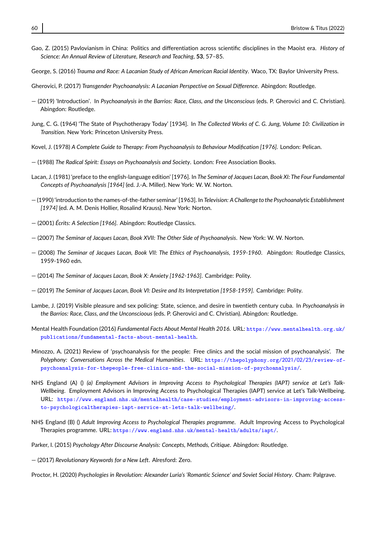- <span id="page-18-5"></span>Gao, Z. (2015) Pavlovianism in China: Politics and differentiation across scientific disciplines in the Maoist era. *History of Science: An Annual Review of Literature, Research and Teaching*, **53**, 57–85.
- <span id="page-18-1"></span>George, S. (2016) *Trauma and Race: A Lacanian Study of African American Racial Identity*. Waco, TX: Baylor University Press.
- <span id="page-18-8"></span>Gherovici, P. (2017) *Transgender Psychoanalysis: A Lacanian Perspective on Sexual Difference*. Abingdon: Routledge.
- <span id="page-18-3"></span>— (2019) 'Introduction'. In *Psychoanalysis in the Barrios: Race, Class, and the Unconscious* (eds. P. Gherovici and C. Christian). Abingdon: Routledge.
- <span id="page-18-2"></span>Jung, C. G. (1964) 'The State of Psychotherapy Today' [1934]. In *The Collected Works of C. G. Jung, Volume 10: Civilization in Transition.* New York: Princeton University Press.
- <span id="page-18-10"></span>Kovel, J. (1978) *A Complete Guide to Therapy: From Psychoanalysis to Behaviour Modification [1976]*. London: Pelican.
- <span id="page-18-11"></span>— (1988) *The Radical Spirit: Essays on Psychoanalysis and Society*. London: Free Association Books.
- <span id="page-18-9"></span>Lacan, J. (1981) 'preface to the english-language edition' [1976]. In *The Seminar of Jacques Lacan, Book XI: The Four Fundamental Concepts of Psychoanalysis [1964]* (ed. J.-A. Miller). New York: W. W. Norton.
- <span id="page-18-0"></span>— (1990) 'introduction to the names-of-the-father seminar' [1963]. In *Television: A Challenge to the Psychoanalytic Establishment [1974]* (ed. A. M. Denis Hollier, Rosalind Krauss). New York: Norton.
- <span id="page-18-21"></span>— (2001) *Écrits: A Selection [1966]*. Abingdon: Routledge Classics.
- <span id="page-18-18"></span>— (2007) *The Seminar of Jacques Lacan, Book XVII: The Other Side of Psychoanalysis*. New York: W. W. Norton.
- <span id="page-18-17"></span>— (2008) *The Seminar of Jacques Lacan, Book VII: The Ethics of Psychoanalysis, 1959-1960*. Abingdon: Routledge Classics, 1959-1960 edn.
- <span id="page-18-20"></span>— (2014) *The Seminar of Jacques Lacan, Book X: Anxiety [1962-1963]*. Cambridge: Polity.
- <span id="page-18-19"></span>— (2019) *The Seminar of Jacques Lacan, Book VI: Desire and Its Interpretation [1958-1959]*. Cambridge: Polity.
- <span id="page-18-6"></span>Lambe, J. (2019) Visible pleasure and sex policing: State, science, and desire in twentieth century cuba. In *Psychoanalysis in the Barrios: Race, Class, and the Unconscioous* (eds. P. Gherovici and C. Christian). Abingdon: Routledge.
- <span id="page-18-14"></span>Mental Health Foundation (2016) *Fundamental Facts About Mental Health 2016*. URL: [https://www.mentalhealth.org.uk/](https://www.mentalhealth.org.uk/publications/fundamental-facts-about-mental-health) [publications/fundamental-facts-about-mental-health](https://www.mentalhealth.org.uk/publications/fundamental-facts-about-mental-health).
- <span id="page-18-13"></span>Minozzo, A. (2021) Review of 'psychoanalysis for the people: Free clinics and the social mission of psychoanalysis'. *The Polyphony: Conversations Across the Medical Humanities*. URL: [https://thepolyphony.org/](https://thepolyphony.org/2021/02/23/review-of-psychoanalysis-for-the people-free-clinics-and-the-social-mission-of-psychoanalysis/)2021/02/23/review-of[psychoanalysis-for-thepeople-free-clinics-and-the-social-mission-of-psychoanalysis/](https://thepolyphony.org/2021/02/23/review-of-psychoanalysis-for-the people-free-clinics-and-the-social-mission-of-psychoanalysis/).
- <span id="page-18-15"></span>NHS England (A) () *(a) Employment Advisors in Improving Access to Psychological Therapies (IAPT) service at Let's Talk-Wellbeing*. Employment Advisors in Improving Access to Psychological Therapies (IAPT) service at Let's Talk-Wellbeing. URL: [https://www.england.nhs.uk/mentalhealth/case-studies/employment-advisors-in-improving-access](https://www.england.nhs.uk/mental health/case-studies/employment-advisors-in-improving-access-to-psychologicaltherapies-iapt-service-at-lets-talk-wellbeing/)[to-psychologicaltherapies-iapt-service-at-lets-talk-wellbeing/](https://www.england.nhs.uk/mental health/case-studies/employment-advisors-in-improving-access-to-psychologicaltherapies-iapt-service-at-lets-talk-wellbeing/).
- <span id="page-18-16"></span>NHS England (B) () *Adult Improving Access to Psychological Therapies programme*. Adult Improving Access to Psychological Therapies programme. URL: <https://www.england.nhs.uk/mental-health/adults/iapt/>.
- <span id="page-18-12"></span>Parker, I. (2015) *Psychology After Discourse Analysis: Concepts, Methods, Critique*. Abingdon: Routledge.
- <span id="page-18-7"></span>— (2017) *Revolutionary Keywords for a New Left*. Alresford: Zero.

<span id="page-18-4"></span>Proctor, H. (2020) *Psychologies in Revolution: Alexander Luria's 'Romantic Science' and Soviet Social History*. Cham: Palgrave.